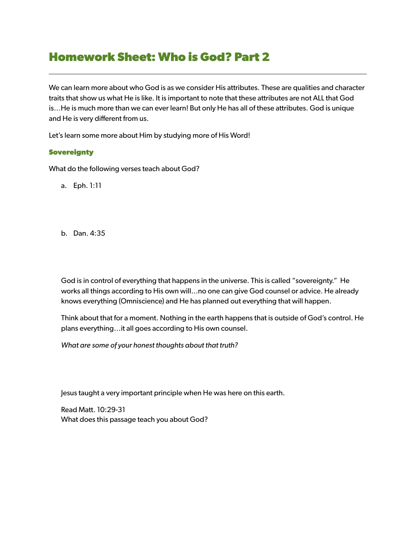## **Homework Sheet: Who is God? Part 2**

We can learn more about who God is as we consider His attributes. These are qualities and character traits that show us what He is like. It is important to note that these attributes are not ALL that God is…He is much more than we can ever learn! But only He has all of these attributes. God is unique and He is very different from us.

Let's learn some more about Him by studying more of His Word!

## **Sovereignty**

What do the following verses teach about God?

- a. Eph. 1:11
- b. Dan. 4:35

God is in control of everything that happens in the universe. This is called "sovereignty." He works all things according to His own will...no one can give God counsel or advice. He already knows everything (Omniscience) and He has planned out everything that will happen.

Think about that for a moment. Nothing in the earth happens that is outside of God's control. He plans everything…it all goes according to His own counsel.

*What are some of your honest thoughts about that truth?* 

Jesus taught a very important principle when He was here on this earth.

Read Matt. 10:29-31 What does this passage teach you about God?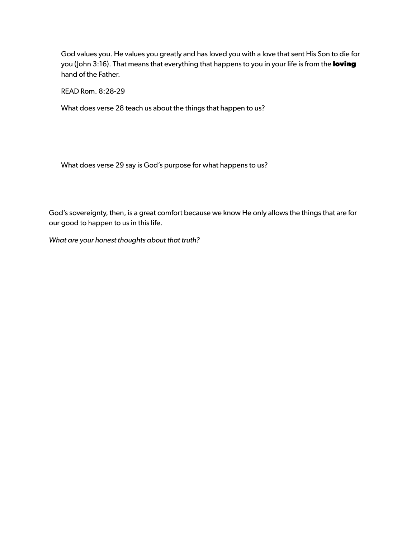God values you. He values you greatly and has loved you with a love that sent His Son to die for you (John 3:16). That means that everything that happens to you in your life is from the **loving** hand of the Father.

READ Rom. 8:28-29

What does verse 28 teach us about the things that happen to us?

What does verse 29 say is God's purpose for what happens to us?

God's sovereignty, then, is a great comfort because we know He only allows the things that are for our good to happen to us in this life.

*What are your honest thoughts about that truth?*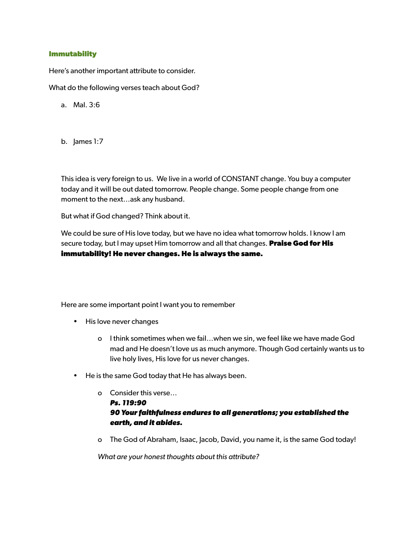## **Immutability**

Here's another important attribute to consider.

What do the following verses teach about God?

- a. Mal. 3:6
- b. James 1:7

This idea is very foreign to us. We live in a world of CONSTANT change. You buy a computer today and it will be out dated tomorrow. People change. Some people change from one moment to the next…ask any husband.

But what if God changed? Think about it.

We could be sure of His love today, but we have no idea what tomorrow holds. I know I am secure today, but I may upset Him tomorrow and all that changes. **Praise God for His immutability! He never changes. He is always the same.** 

Here are some important point I want you to remember

- His love never changes
	- o I think sometimes when we fail…when we sin, we feel like we have made God mad and He doesn't love us as much anymore. Though God certainly wants us to live holy lives, His love for us never changes.
- He is the same God today that He has always been.
	- o Consider this verse… *Ps. 119:90 90 Your faithfulness endures to all generations; you established the earth, and it abides.*
	- o The God of Abraham, Isaac, Jacob, David, you name it, is the same God today!

*What are your honest thoughts about this attribute?*